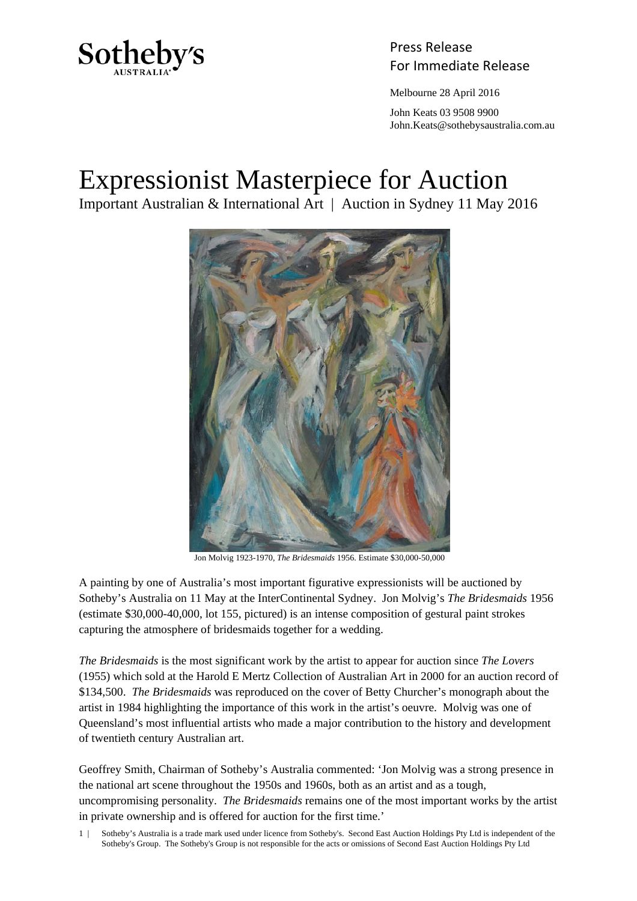

Press Release Sotheby's<br>For Immediate Release

Melbourne 28 April 2016

 John Keats 03 9508 9900 John.Keats@sothebysaustralia.com.au

## Expressionist Masterpiece for Auction

Important Australian & International Art | Auction in Sydney 11 May 2016



Jon Molvig 1923-1970, *The Bridesmaids* 1956. Estimate \$30,000-50,000

A painting by one of Australia's most important figurative expressionists will be auctioned by Sotheby's Australia on 11 May at the InterContinental Sydney. Jon Molvig's *The Bridesmaids* 1956 (estimate \$30,000-40,000, lot 155, pictured) is an intense composition of gestural paint strokes capturing the atmosphere of bridesmaids together for a wedding.

*The Bridesmaids* is the most significant work by the artist to appear for auction since *The Lovers* (1955) which sold at the Harold E Mertz Collection of Australian Art in 2000 for an auction record of \$134,500. *The Bridesmaids* was reproduced on the cover of Betty Churcher's monograph about the artist in 1984 highlighting the importance of this work in the artist's oeuvre. Molvig was one of Queensland's most influential artists who made a major contribution to the history and development of twentieth century Australian art.

Geoffrey Smith, Chairman of Sotheby's Australia commented: 'Jon Molvig was a strong presence in the national art scene throughout the 1950s and 1960s, both as an artist and as a tough, uncompromising personality. *The Bridesmaids* remains one of the most important works by the artist in private ownership and is offered for auction for the first time.'

<sup>1 |</sup> Sotheby's Australia is a trade mark used under licence from Sotheby's. Second East Auction Holdings Pty Ltd is independent of the Sotheby's Group. The Sotheby's Group is not responsible for the acts or omissions of Second East Auction Holdings Pty Ltd